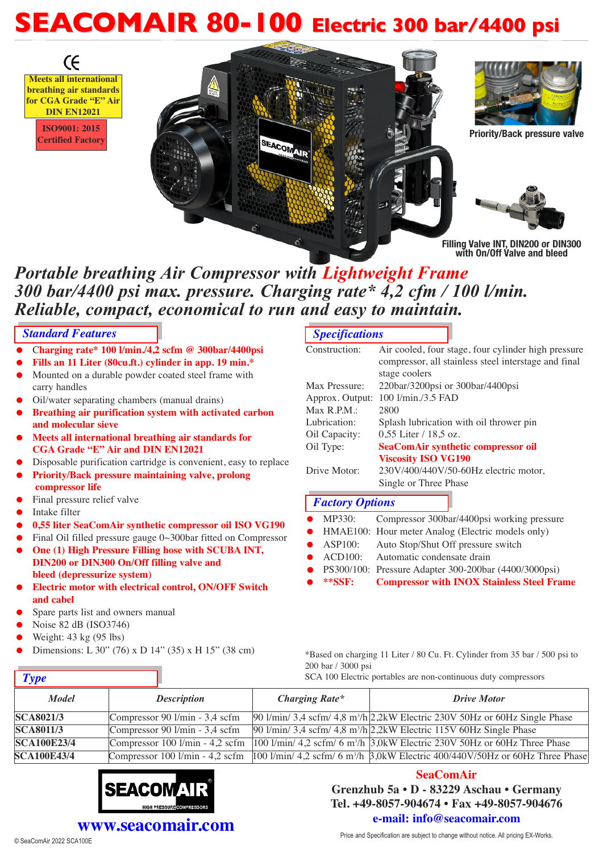# **SEACOMAIR 80-100 Electric 300 bar/4400 psi**

CE **Meets all international breathing air standards for CGA Grade "E" Air DIN EN12021**

**Certified Factory**



## *Portable breathing Air Compressor with Lightweight Frame 300 bar/4400 psi max. pressure. Charging rate\* 4,2 cfm / 100 l/min. Reliable, compact, economical to run and easy to maintain.*

## *Standard Features Specifications*

- = C**harging rate\* 100 l/min./4,2 scfm @ 300bar/4400psi**
- = **Fills an 11 Liter (80cu.ft.) cylinder in app. 19 min.\***
- Mounted on a durable powder coated steel frame with carry handles
- Oil/water separating chambers (manual drains)
- = **Breathing air purification system with activated carbon and molecular sieve**
- = **Meets all international breathing air standards for CGA Grade "E" Air and DIN EN12021**
- Disposable purification cartridge is convenient, easy to replace
- = **Priority/Back pressure maintaining valve, prolong compressor life**
- Final pressure relief valve
- Intake filter
- = **0,55 liter SeaComAir synthetic compressor oil ISO VG190**
- Final Oil filled pressure gauge 0~300bar fitted on Compressor
- = **One (1) High Pressure Filling hose with SCUBA INT, DIN200 or DIN300 On/Off filling valve and bleed (depressurize system)**
- = **Electric motor with electrical control, ON/OFF Switch and cabel**
- Spare parts list and owners manual
- Noise 82 dB (ISO3746)
- Weight: 43 kg (95 lbs)

*Type*

Dimensions: L 30" (76) x D 14" (35) x H 15" (38 cm)

| $\sim$ p $\sim$ equations and |                                                                                                                 |  |  |
|-------------------------------|-----------------------------------------------------------------------------------------------------------------|--|--|
| Construction:                 | Air cooled, four stage, four cylinder high pressure                                                             |  |  |
|                               | compressor, all stainless steel interstage and final                                                            |  |  |
|                               | stage coolers                                                                                                   |  |  |
| Max Pressure:                 | $220\bar{\mathrm{bar}}/3200\bar{\mathrm{psi}}$ or $300\bar{\mathrm{bar}}/4400\bar{\mathrm{psi}}$                |  |  |
| Approx. Output:               | 100 1/min./3.5 FAD                                                                                              |  |  |
| $Max$ R.P.M.:                 | 2800                                                                                                            |  |  |
| Lubrication:                  | Splash lubrication with oil thrower pin                                                                         |  |  |
| Oil Capacity:                 | $0.55$ Liter / 18.5 oz.                                                                                         |  |  |
| Oil Type:                     | <b>SeaComAir synthetic compressor oil</b>                                                                       |  |  |
|                               | <b>Viscosity ISO VG190</b>                                                                                      |  |  |
| Drive Motor:                  | 230V/400/440V/50-60Hz electric motor,                                                                           |  |  |
|                               | Single or Three Phase                                                                                           |  |  |
|                               |                                                                                                                 |  |  |
| <b>Factory Options</b>        |                                                                                                                 |  |  |
| MP330:                        | Compressor 300bar/4400psi working pressure                                                                      |  |  |
|                               | HMAE100: Hour meter Analog (Electric models only)                                                               |  |  |
|                               | $\Lambda$ CD100. $\Lambda_{\text{tot}}$ , $\Omega_{\text{tot}}$ , $\Omega_{\text{tot}}$ , $\Omega_{\text{tot}}$ |  |  |

- ASP100: Auto Stop/Shut Off pressure switch
- ACD100: Automatic condensate drain
- =PS300/100: Pressure Adapter 300-200bar (4400/3000psi)
- = **\*\*SSF: Compressor with INOX Stainless Steel Frame**

\*Based on charging 11 Liter / 80 Cu. Ft. Cylinder from 35 bar / 500 psi to 200 bar / 3000 psi

SCA 100 Electric portables are non-continuous duty compressors

| vr -               |                                                         |                       |                                                                                                                                                                 |
|--------------------|---------------------------------------------------------|-----------------------|-----------------------------------------------------------------------------------------------------------------------------------------------------------------|
| <b>Model</b>       | <b>Description</b>                                      | <b>Charging Rate*</b> | <b>Drive Motor</b>                                                                                                                                              |
| <b>SCA8021/3</b>   | Compressor 90 $1/\text{min} - 3.4$ scfm                 |                       | $90 \frac{\text{1}}{\text{min}}$ 3,4 scfm/ 4,8 m <sup>3</sup> /h $\frac{\text{2,2}}{\text{k}}$ W Electric 230V 50Hz or 60Hz Single Phase                        |
| <b>SCA8011/3</b>   | Compressor 90 $1/\text{min}$ - 3,4 scfm                 |                       | $ 90 \text{ l/min}/3.4 \text{ scfm}/4.8 \text{ m}^3/\text{h} 2.2 \text{kW}$ Electric 115V 60Hz Single Phase                                                     |
| <b>SCA100E23/4</b> | Compressor $100 \frac{\text{l}}{\text{min}}$ - 4,2 scfm |                       | $100 \frac{\text{1}}{\text{min}}$ 4,2 scfm/ 6 m <sup>3</sup> /h $3.0 \text{kW}$ Electric 230V 50Hz or 60Hz Three Phase                                          |
| <b>SCA100E43/4</b> |                                                         |                       | Compressor 100 l/min - 4.2 scfm $\left 100\right $ l/min/ 4.2 scfm/ 6 m <sup>3</sup> /h $\left 3.0\text{kW} \right $ Electric 400/440V/50Hz or 60Hz Three Phase |



## **SeaComAir**

**Grenzhub 5a** • **D - 83229 Aschau** • **Germany Tel. +49-8057-904674** • **Fax +49-8057-904676 e-mail: info@seacomair.com**

© SeaComAir 2022 SCA100E **WWW.SEACOMAIP.COM**<br>Price and Specification are subject to change without notice. All pricing EX-Works.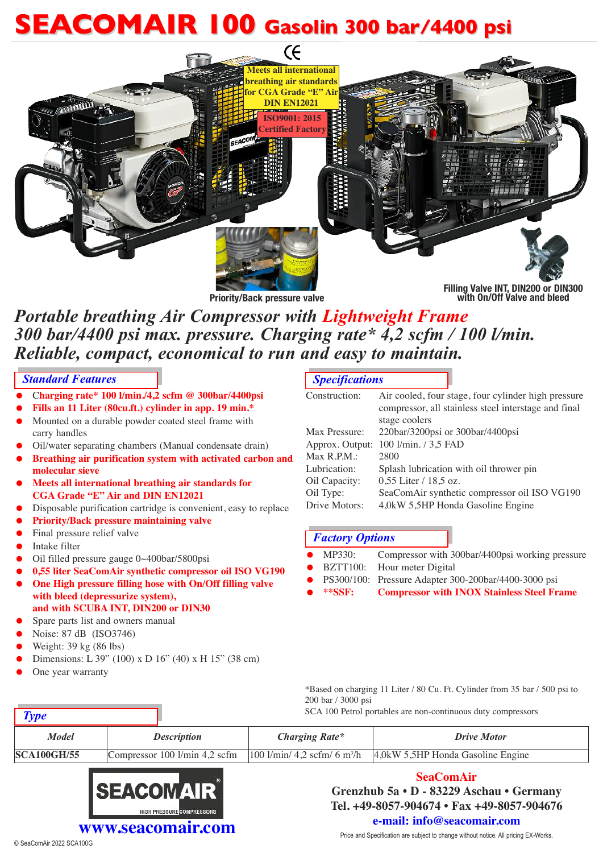# **SEACOMAIR 100 Gasolin 300 bar/4400 psi**



**Priority/Back pressure valve**

**Filling Valve INT, DIN200 or DIN300 with On/Off Valve and bleed**

# *Portable breathing Air Compressor with Lightweight Frame* 300 bar/4400 psi max. pressure. Charging rate\*  $\overline{4}$ , 2 scfm / 100 l/min.<br>Reliable, compact, economical to run and easy to maintain.

## *Standard Features Specifications*

- = C**harging rate\* 100 l/min./4,2 scfm @ 300bar/4400psi**
- = **Fills an 11 Liter (80cu.ft.) cylinder in app. 19 min.\***
- Mounted on a durable powder coated steel frame with carry handles
- Oil/water separating chambers (Manual condensate drain)
- = **Breathing air purification system with activated carbon and molecular sieve**
- = **Meets all international breathing air standards for CGA Grade "E" Air and DIN EN12021**
- Disposable purification cartridge is convenient, easy to replace
- = **Priority/Back pressure maintaining valve**
- Final pressure relief valve
- Intake filter
- Oil filled pressure gauge 0~400bar/5800psi
- = **0,55 liter SeaComAir synthetic compressor oil ISO VG190**
- = **One High pressure filling hose with On/Off filling valve with bleed (depressurize system), and with SCUBA INT, DIN200 or DIN30**
- Spare parts list and owners manual
- Noise: 87 dB (ISO3746)
- Weight: 39 kg (86 lbs)
- Dimensions: L 39" (100) x D 16" (40) x H 15" (38 cm)
- One year warranty

*Type*

| Construction: | Air cooled, four stage, four cylinder high pressure  |  |  |
|---------------|------------------------------------------------------|--|--|
|               | compressor, all stainless steel interstage and final |  |  |
|               | stage coolers                                        |  |  |
| Max Pressure: | 220bar/3200psi or 300bar/4400psi                     |  |  |
|               | Approx. Output: 100 l/min. / 3,5 FAD                 |  |  |
| $Max$ R.P.M.: | 2800                                                 |  |  |
| Lubrication:  | Splash lubrication with oil thrower pin              |  |  |
| Oil Capacity: | $0.55$ Liter / 18.5 oz.                              |  |  |
| Oil Type:     | SeaComAir synthetic compressor oil ISO VG190         |  |  |
| Drive Motors: | 4,0kW 5,5HP Honda Gasoline Engine                    |  |  |
|               |                                                      |  |  |

### *Factory Options*

- MP330: Compressor with 300bar/4400psi working pressure
- BZTT100: Hour meter Digital
- = PS300/100: Pressure Adapter 300-200bar/4400-3000 psi
- = **\*\*SSF: Compressor with INOX Stainless Steel Frame**

\*Based on charging 11 Liter / 80 Cu. Ft. Cylinder from 35 bar / 500 psi to 200 bar / 3000 psi SCA 100 Petrol portables are non-continuous duty compressors

| Model              | <i>Description</i>                                    | <b>Charging Rate*</b>                      | Drive Motor                         |
|--------------------|-------------------------------------------------------|--------------------------------------------|-------------------------------------|
| <b>SCA100GH/55</b> | Compressor $100 \frac{\text{l}}{\text{min}}$ 4.2 scfm | $100$ l/min/ 4,2 scfm/ 6 m <sup>3</sup> /h | $ 4.0kW5.5HPH$ onda Gasoline Engine |



## **SeaComAir**

**Grenzhub 5a** • **D - 83229 Aschau** • **Germany Tel. +49-8057-904674** • **Fax +49-8057-904676 e-mail: info@seacomair.com**

© SeaComAir 2022 SCA100G

**www.seacomair.com**<br>
Price and Specification are subject to change without notice. All pricing EX-Works.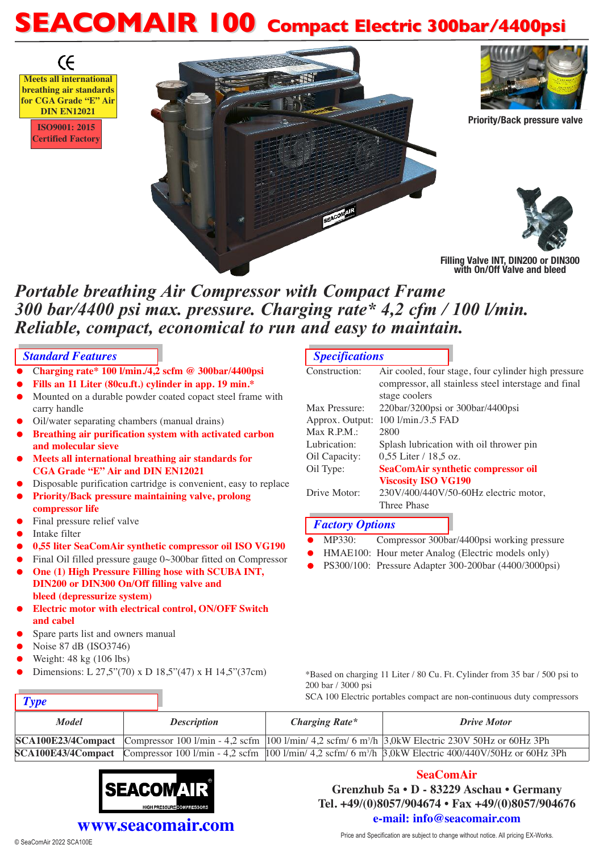# **SEACOMAIR 100 Compact Electric 300bar/4400psi**



## *Portable breathing Air Compressor with Compact Frame 300 bar/4400 psi max. pressure. Charging rate\* 4,2 cfm / 100 l/min. Reliable, compact, economical to run and easy to maintain.*

## *Standard Features Specifications*

(F

- = C**harging rate\* 100 l/min./4,2 scfm @ 300bar/4400psi**
- = **Fills an 11 Liter (80cu.ft.) cylinder in app. 19 min.\***
- Mounted on a durable powder coated copact steel frame with carry handle
- Oil/water separating chambers (manual drains)
- = **Breathing air purification system with activated carbon and molecular sieve**
- = **Meets all international breathing air standards for CGA Grade "E" Air and DIN EN12021**
- Disposable purification cartridge is convenient, easy to replace
- = **Priority/Back pressure maintaining valve, prolong compressor life**
- Final pressure relief valve
- Intake filter
- = **0,55 liter SeaComAir synthetic compressor oil ISO VG190**
- Final Oil filled pressure gauge 0~300bar fitted on Compressor
- = **One (1) High Pressure Filling hose with SCUBA INT, DIN200 or DIN300 On/Off filling valve and bleed (depressurize system)**
- = **Electric motor with electrical control, ON/OFF Switch and cabel**
- Spare parts list and owners manual
- Noise 87 dB (ISO3746)
- Weight: 48 kg (106 lbs)

*Type*

Dimensions: L 27,5"(70) x D 18,5"(47) x H 14,5"(37cm)

| Construction:                             | Air cooled, four stage, four cylinder high pressure                                      |  |  |
|-------------------------------------------|------------------------------------------------------------------------------------------|--|--|
|                                           | compressor, all stainless steel interstage and final                                     |  |  |
|                                           | stage coolers                                                                            |  |  |
| Max Pressure:                             | $220\bar{\text{bar}}/3200\bar{\text{psi}}$ or $300\bar{\text{bar}}/4400\bar{\text{psi}}$ |  |  |
| Approx. Output:                           | 100 1/min./3.5 FAD                                                                       |  |  |
| $Max$ R.P.M.:                             | 2800                                                                                     |  |  |
| Lubrication:                              | Splash lubrication with oil thrower pin                                                  |  |  |
| Oil Capacity:                             | $0.55$ Liter / 18.5 oz.                                                                  |  |  |
| Oil Type:                                 | <b>SeaComAir synthetic compressor oil</b>                                                |  |  |
|                                           | <b>Viscosity ISO VG190</b>                                                               |  |  |
| Drive Motor:                              | 230V/400/440V/50-60Hz electric motor,                                                    |  |  |
|                                           | Three Phase                                                                              |  |  |
| $\overline{\phantom{a}}$<br>$\sim$ $\sim$ |                                                                                          |  |  |

## *Factory Options*

- MP330: Compressor 300bar/4400psi working pressure
- HMAE100: Hour meter Analog (Electric models only)
- =PS300/100: Pressure Adapter 300-200bar (4400/3000psi)

| *Based on charging 11 Liter / 80 Cu. Ft. Cylinder from 35 bar / 500 psi to |  |  |
|----------------------------------------------------------------------------|--|--|
| 200 bar / 3000 psi                                                         |  |  |

SCA 100 Electric portables compact are non-continuous duty compressors

| <b>Model</b> | <b>Description</b> | <b>Charging Rate*</b> | <b>Drive Motor</b>                                                                                                                                 |
|--------------|--------------------|-----------------------|----------------------------------------------------------------------------------------------------------------------------------------------------|
|              |                    |                       | <b>SCA100E23/4Compact</b> Compressor 100 l/min - 4.2 scfm $ 100 $ /min/ 4.2 scfm/ 6 m <sup>3</sup> /h $ 3,0kW$ Electric 230V 50Hz or 60Hz 3Ph      |
|              |                    |                       | <b>SCA100E43/4Compact</b> Compressor 100 l/min - 4.2 scfm $ 100 $ /min/ 4.2 scfm/ 6 m <sup>3</sup> /h $ 3.0kW $ Electric 400/440V/50Hz or 60Hz 3Ph |



## **SeaComAir**

**Grenzhub 5a** • **D - 83229 Aschau** • **Germany Tel. +49/(0)8057/904674** • **Fax +49/(0)8057/904676 e-mail: info@seacomair.com**

© SeaComAir 2022 SCA100E

WWW.Seacomair.com<br>
Price and Specification are subject to change without notice. All pricing EX-Works.